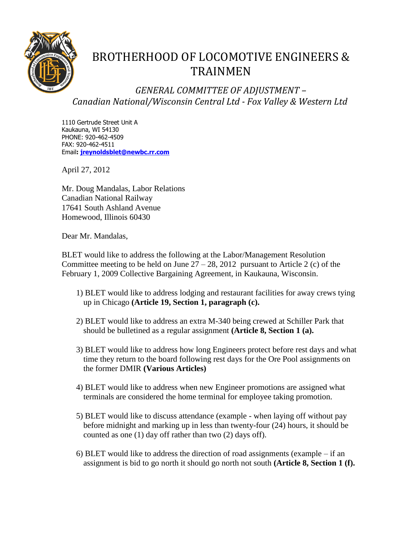

## BROTHERHOOD OF LOCOMOTIVE ENGINEERS & TRAINMEN

*GENERAL COMMITTEE OF ADJUSTMENT – Canadian National/Wisconsin Central Ltd - Fox Valley & Western Ltd*

1110 Gertrude Street Unit A Kaukauna, WI 54130 PHONE: 920-462-4509 FAX: 920-462-4511 Email**: [jreynoldsblet@newbc.rr.com](mailto:jreynoldblet@newbc.rr.com)**

April 27, 2012

Mr. Doug Mandalas, Labor Relations Canadian National Railway 17641 South Ashland Avenue Homewood, Illinois 60430

Dear Mr. Mandalas,

BLET would like to address the following at the Labor/Management Resolution Committee meeting to be held on June  $27 - 28$ , 2012 pursuant to Article 2 (c) of the February 1, 2009 Collective Bargaining Agreement, in Kaukauna, Wisconsin.

- 1) BLET would like to address lodging and restaurant facilities for away crews tying up in Chicago **(Article 19, Section 1, paragraph (c).**
- 2) BLET would like to address an extra M-340 being crewed at Schiller Park that should be bulletined as a regular assignment **(Article 8, Section 1 (a).**
- 3) BLET would like to address how long Engineers protect before rest days and what time they return to the board following rest days for the Ore Pool assignments on the former DMIR **(Various Articles)**
- 4) BLET would like to address when new Engineer promotions are assigned what terminals are considered the home terminal for employee taking promotion.
- 5) BLET would like to discuss attendance (example when laying off without pay before midnight and marking up in less than twenty-four (24) hours, it should be counted as one (1) day off rather than two (2) days off).
- 6) BLET would like to address the direction of road assignments (example if an assignment is bid to go north it should go north not south **(Article 8, Section 1 (f).**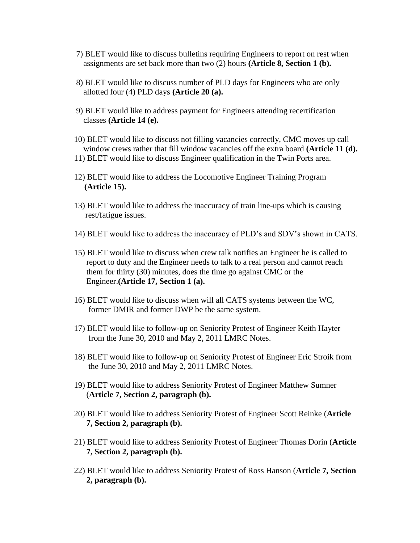- 7) BLET would like to discuss bulletins requiring Engineers to report on rest when assignments are set back more than two (2) hours **(Article 8, Section 1 (b).**
- 8) BLET would like to discuss number of PLD days for Engineers who are only allotted four (4) PLD days **(Article 20 (a).**
- 9) BLET would like to address payment for Engineers attending recertification classes **(Article 14 (e).**
- 10) BLET would like to discuss not filling vacancies correctly, CMC moves up call window crews rather that fill window vacancies off the extra board **(Article 11 (d).**
- 11) BLET would like to discuss Engineer qualification in the Twin Ports area.
- 12) BLET would like to address the Locomotive Engineer Training Program **(Article 15).**
- 13) BLET would like to address the inaccuracy of train line-ups which is causing rest/fatigue issues.
- 14) BLET would like to address the inaccuracy of PLD's and SDV's shown in CATS.
- 15) BLET would like to discuss when crew talk notifies an Engineer he is called to report to duty and the Engineer needs to talk to a real person and cannot reach them for thirty (30) minutes, does the time go against CMC or the Engineer.**(Article 17, Section 1 (a).**
- 16) BLET would like to discuss when will all CATS systems between the WC, former DMIR and former DWP be the same system.
- 17) BLET would like to follow-up on Seniority Protest of Engineer Keith Hayter from the June 30, 2010 and May 2, 2011 LMRC Notes.
- 18) BLET would like to follow-up on Seniority Protest of Engineer Eric Stroik from the June 30, 2010 and May 2, 2011 LMRC Notes.
- 19) BLET would like to address Seniority Protest of Engineer Matthew Sumner (**Article 7, Section 2, paragraph (b).**
- 20) BLET would like to address Seniority Protest of Engineer Scott Reinke (**Article 7, Section 2, paragraph (b).**
- 21) BLET would like to address Seniority Protest of Engineer Thomas Dorin (**Article 7, Section 2, paragraph (b).**
- 22) BLET would like to address Seniority Protest of Ross Hanson (**Article 7, Section 2, paragraph (b).**